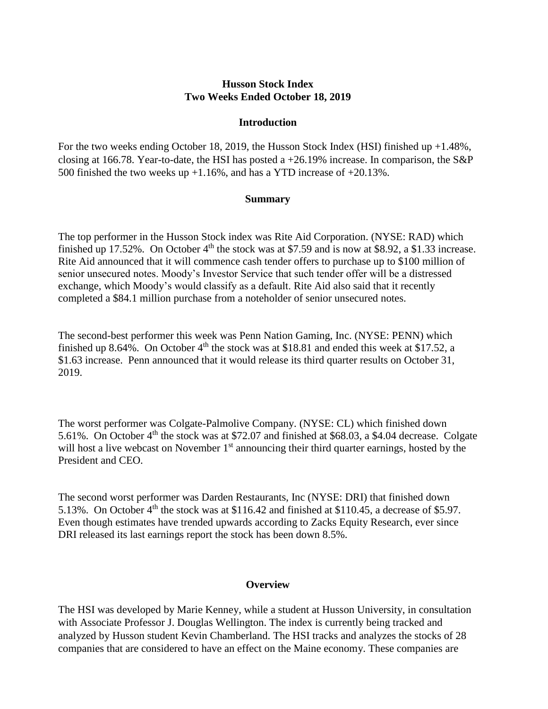## **Husson Stock Index Two Weeks Ended October 18, 2019**

#### **Introduction**

For the two weeks ending October 18, 2019, the Husson Stock Index (HSI) finished up +1.48%, closing at 166.78. Year-to-date, the HSI has posted a  $+26.19\%$  increase. In comparison, the S&P 500 finished the two weeks up  $+1.16\%$ , and has a YTD increase of  $+20.13\%$ .

#### **Summary**

The top performer in the Husson Stock index was Rite Aid Corporation. (NYSE: RAD) which finished up 17.52%. On October  $4<sup>th</sup>$  the stock was at \$7.59 and is now at \$8.92, a \$1.33 increase. Rite Aid announced that it will commence cash tender offers to purchase up to \$100 million of senior unsecured notes. Moody's Investor Service that such tender offer will be a distressed exchange, which Moody's would classify as a default. Rite Aid also said that it recently completed a \$84.1 million purchase from a noteholder of senior unsecured notes.

The second-best performer this week was Penn Nation Gaming, Inc. (NYSE: PENN) which finished up 8.64%. On October 4<sup>th</sup> the stock was at \$18.81 and ended this week at \$17.52, a \$1.63 increase. Penn announced that it would release its third quarter results on October 31, 2019.

The worst performer was Colgate-Palmolive Company. (NYSE: CL) which finished down 5.61%. On October 4<sup>th</sup> the stock was at \$72.07 and finished at \$68.03, a \$4.04 decrease. Colgate will host a live webcast on November  $1<sup>st</sup>$  announcing their third quarter earnings, hosted by the President and CEO.

The second worst performer was Darden Restaurants, Inc (NYSE: DRI) that finished down 5.13%. On October  $4<sup>th</sup>$  the stock was at \$116.42 and finished at \$110.45, a decrease of \$5.97. Even though estimates have trended upwards according to Zacks Equity Research, ever since DRI released its last earnings report the stock has been down 8.5%.

### **Overview**

The HSI was developed by Marie Kenney, while a student at Husson University, in consultation with Associate Professor J. Douglas Wellington. The index is currently being tracked and analyzed by Husson student Kevin Chamberland. The HSI tracks and analyzes the stocks of 28 companies that are considered to have an effect on the Maine economy. These companies are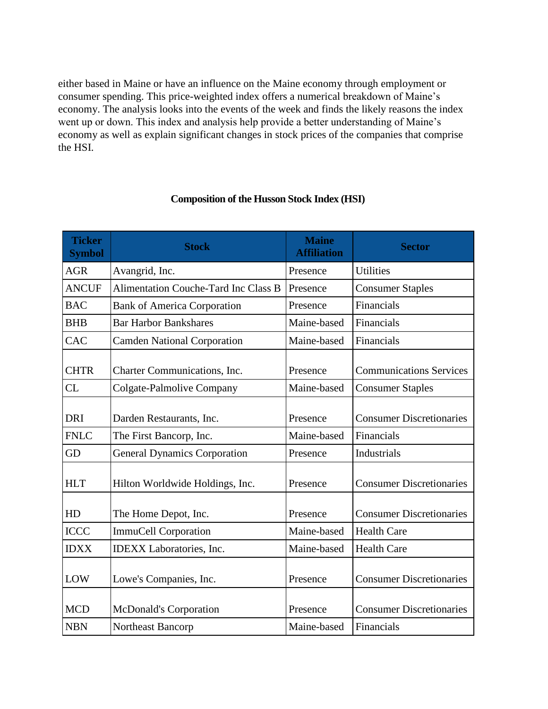either based in Maine or have an influence on the Maine economy through employment or consumer spending. This price-weighted index offers a numerical breakdown of Maine's economy. The analysis looks into the events of the week and finds the likely reasons the index went up or down. This index and analysis help provide a better understanding of Maine's economy as well as explain significant changes in stock prices of the companies that comprise the HSI.

| <b>Ticker</b><br><b>Symbol</b> | <b>Stock</b>                                | <b>Maine</b><br><b>Affiliation</b> | <b>Sector</b>                   |
|--------------------------------|---------------------------------------------|------------------------------------|---------------------------------|
| <b>AGR</b>                     | Avangrid, Inc.                              | Presence                           | <b>Utilities</b>                |
| <b>ANCUF</b>                   | <b>Alimentation Couche-Tard Inc Class B</b> | Presence                           | <b>Consumer Staples</b>         |
| <b>BAC</b>                     | <b>Bank of America Corporation</b>          | Presence                           | Financials                      |
| <b>BHB</b>                     | <b>Bar Harbor Bankshares</b>                | Maine-based                        | Financials                      |
| CAC                            | <b>Camden National Corporation</b>          | Maine-based                        | Financials                      |
| <b>CHTR</b>                    | Charter Communications, Inc.                | Presence                           | <b>Communications Services</b>  |
| CL                             | Colgate-Palmolive Company                   | Maine-based                        | <b>Consumer Staples</b>         |
| <b>DRI</b>                     | Darden Restaurants, Inc.                    | Presence                           | <b>Consumer Discretionaries</b> |
| <b>FNLC</b>                    | The First Bancorp, Inc.                     | Maine-based                        | Financials                      |
| GD                             | <b>General Dynamics Corporation</b>         | Presence                           | <b>Industrials</b>              |
| <b>HLT</b>                     | Hilton Worldwide Holdings, Inc.             | Presence                           | <b>Consumer Discretionaries</b> |
| HD                             | The Home Depot, Inc.                        | Presence                           | <b>Consumer Discretionaries</b> |
| <b>ICCC</b>                    | <b>ImmuCell Corporation</b>                 | Maine-based                        | <b>Health Care</b>              |
| <b>IDXX</b>                    | <b>IDEXX</b> Laboratories, Inc.             | Maine-based                        | <b>Health Care</b>              |
| LOW                            | Lowe's Companies, Inc.                      | Presence                           | <b>Consumer Discretionaries</b> |
| <b>MCD</b>                     | McDonald's Corporation                      | Presence                           | <b>Consumer Discretionaries</b> |
| <b>NBN</b>                     | Northeast Bancorp                           | Maine-based                        | Financials                      |

# **Composition of the Husson Stock Index (HSI)**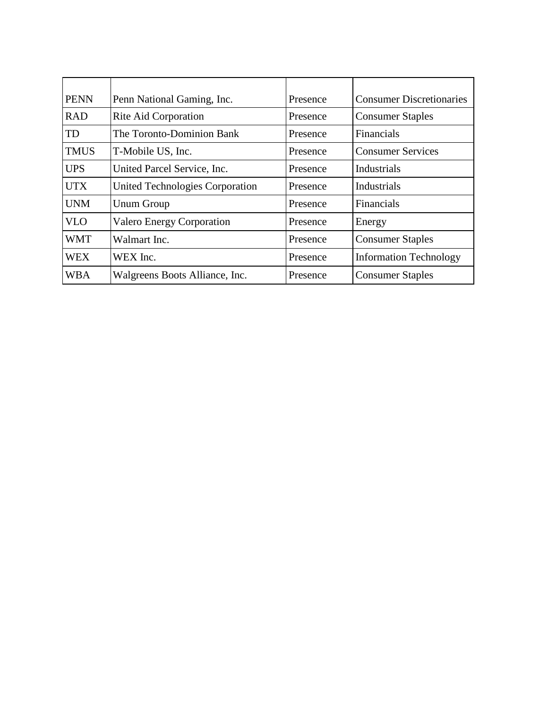| <b>PENN</b> | Penn National Gaming, Inc.       | Presence | <b>Consumer Discretionaries</b> |
|-------------|----------------------------------|----------|---------------------------------|
| <b>RAD</b>  | Rite Aid Corporation             | Presence | <b>Consumer Staples</b>         |
| TD          | The Toronto-Dominion Bank        | Presence | Financials                      |
| <b>TMUS</b> | T-Mobile US, Inc.                | Presence | <b>Consumer Services</b>        |
| <b>UPS</b>  | United Parcel Service, Inc.      | Presence | Industrials                     |
| <b>UTX</b>  | United Technologies Corporation  | Presence | Industrials                     |
| <b>UNM</b>  | <b>Unum Group</b>                | Presence | Financials                      |
| <b>VLO</b>  | <b>Valero Energy Corporation</b> | Presence | Energy                          |
| <b>WMT</b>  | Walmart Inc.                     | Presence | <b>Consumer Staples</b>         |
| <b>WEX</b>  | WEX Inc.                         | Presence | <b>Information Technology</b>   |
| WBA         | Walgreens Boots Alliance, Inc.   | Presence | <b>Consumer Staples</b>         |